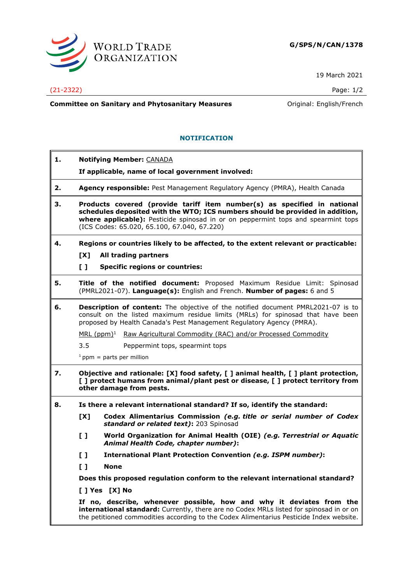

19 March 2021

## (21-2322) Page: 1/2

**Committee on Sanitary and Phytosanitary Measures Committee on Sanitary and Phytosanitary Measures Committee on Sanitary and Phytosanitary Measures** 

## **NOTIFICATION**

| 1. | <b>Notifying Member: CANADA</b>                                                                                                                                                                                                                                                               |
|----|-----------------------------------------------------------------------------------------------------------------------------------------------------------------------------------------------------------------------------------------------------------------------------------------------|
|    | If applicable, name of local government involved:                                                                                                                                                                                                                                             |
| 2. | Agency responsible: Pest Management Regulatory Agency (PMRA), Health Canada                                                                                                                                                                                                                   |
| З. | Products covered (provide tariff item number(s) as specified in national<br>schedules deposited with the WTO; ICS numbers should be provided in addition,<br>where applicable): Pesticide spinosad in or on peppermint tops and spearmint tops<br>(ICS Codes: 65.020, 65.100, 67.040, 67.220) |
| 4. | Regions or countries likely to be affected, to the extent relevant or practicable:                                                                                                                                                                                                            |
|    | [X]<br>All trading partners                                                                                                                                                                                                                                                                   |
|    | $\mathbf{L}$<br><b>Specific regions or countries:</b>                                                                                                                                                                                                                                         |
| 5. | Title of the notified document: Proposed Maximum Residue Limit: Spinosad<br>(PMRL2021-07). Language(s): English and French. Number of pages: 6 and 5                                                                                                                                          |
| 6. | <b>Description of content:</b> The objective of the notified document PMRL2021-07 is to<br>consult on the listed maximum residue limits (MRLs) for spinosad that have been<br>proposed by Health Canada's Pest Management Regulatory Agency (PMRA).                                           |
|    | MRL (ppm) <sup>1</sup> Raw Agricultural Commodity (RAC) and/or Processed Commodity                                                                                                                                                                                                            |
|    | $3.5^{\circ}$<br>Peppermint tops, spearmint tops                                                                                                                                                                                                                                              |
|    | $1$ ppm = parts per million                                                                                                                                                                                                                                                                   |
| 7. | Objective and rationale: [X] food safety, [ ] animal health, [ ] plant protection,<br>[] protect humans from animal/plant pest or disease, [] protect territory from<br>other damage from pests.                                                                                              |
| 8. | Is there a relevant international standard? If so, identify the standard:                                                                                                                                                                                                                     |
|    | Codex Alimentarius Commission (e.g. title or serial number of Codex<br>[X]<br>standard or related text): 203 Spinosad                                                                                                                                                                         |
|    | $\mathbf{L}$<br>World Organization for Animal Health (OIE) (e.g. Terrestrial or Aquatic<br>Animal Health Code, chapter number):                                                                                                                                                               |
|    | $\mathbf{L}$<br><b>International Plant Protection Convention (e.g. ISPM number):</b>                                                                                                                                                                                                          |
|    | $\mathbf{L}$<br><b>None</b>                                                                                                                                                                                                                                                                   |
|    | Does this proposed regulation conform to the relevant international standard?                                                                                                                                                                                                                 |
|    | [ ] Yes [X] No                                                                                                                                                                                                                                                                                |
|    | If no, describe, whenever possible, how and why it deviates from the<br>international standard: Currently, there are no Codex MRLs listed for spinosad in or on<br>the petitioned commodities according to the Codex Alimentarius Pesticide Index website.                                    |